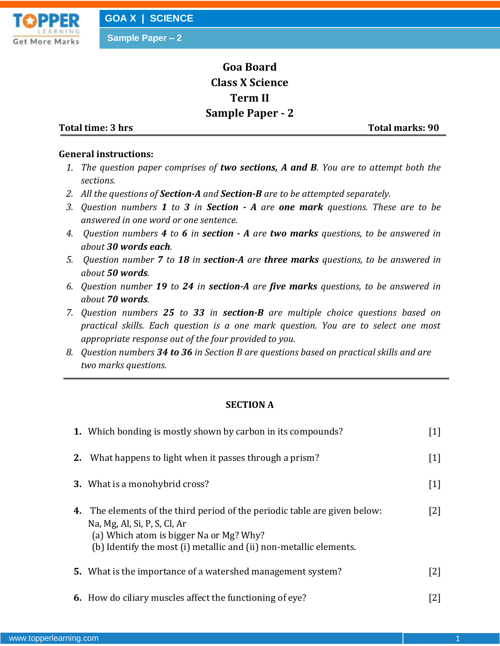

# **Goa Board Class X Science Term II Sample Paper - 2**

**Total time: 3 hrs** Total marks: 90

### **General instructions:**

- *1. The question paper comprises of two sections, A and B. You are to attempt both the sections.*
- *2. All the questions of Section-A and Section-B are to be attempted separately.*
- *3. Question numbers 1 to 3 in Section - A are one mark questions. These are to be answered in one word or one sentence.*
- *4. Question numbers 4 to 6 in section - A are two marks questions, to be answered in about 30 words each.*
- *5. Question number 7 to 18 in section-A are three marks questions, to be answered in about 50 words.*
- *6. Question number 19 to 24 in section-A are five marks questions, to be answered in about 70 words.*
- *7. Question numbers 25 to 33 in section-B are multiple choice questions based on practical skills. Each question is a one mark question. You are to select one most appropriate response out of the four provided to you.*
- *8. Question numbers 34 to 36 in Section B are questions based on practical skills and are two marks questions.*

## **SECTION A**

|    | 1. Which bonding is mostly shown by carbon in its compounds?                                                                                                                                                                       | [1]               |
|----|------------------------------------------------------------------------------------------------------------------------------------------------------------------------------------------------------------------------------------|-------------------|
| 2. | What happens to light when it passes through a prism?                                                                                                                                                                              | $[1]$             |
|    | <b>3.</b> What is a monohybrid cross?                                                                                                                                                                                              | $\lceil 1 \rceil$ |
|    | <b>4.</b> The elements of the third period of the periodic table are given below:<br>Na, Mg, Al, Si, P, S, Cl, Ar<br>(a) Which atom is bigger Na or Mg? Why?<br>(b) Identify the most (i) metallic and (ii) non-metallic elements. | [2]               |
|    | <b>5.</b> What is the importance of a watershed management system?                                                                                                                                                                 | [2]               |
|    | 6. How do ciliary muscles affect the functioning of eye?                                                                                                                                                                           | [2]               |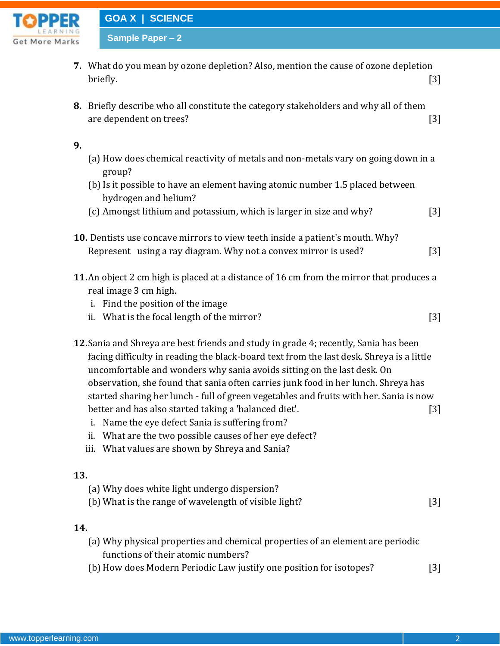

**GOA X | SCIENCE**

**Sample Paper – 2**

- **7.** What do you mean by ozone depletion? Also, mention the cause of ozone depletion briefly. [3]
- **8.** Briefly describe who all constitute the category stakeholders and why all of them are dependent on trees? [3]

### **9.**

- (a) How does chemical reactivity of metals and non-metals vary on going down in a group?
- (b) Is it possible to have an element having atomic number 1.5 placed between hydrogen and helium?
- (c) Amongst lithium and potassium, which is larger in size and why? [3]
- **10.** Dentists use concave mirrors to view teeth inside a patient's mouth. Why? Represent using a ray diagram. Why not a convex mirror is used? [3]
- **11.**An object 2 cm high is placed at a distance of 16 cm from the mirror that produces a real image 3 cm high.
	- i. Find the position of the image
	- ii. What is the focal length of the mirror? [3]
- **12.**Sania and Shreya are best friends and study in grade 4; recently, Sania has been facing difficulty in reading the black-board text from the last desk. Shreya is a little uncomfortable and wonders why sania avoids sitting on the last desk. On observation, she found that sania often carries junk food in her lunch. Shreya has started sharing her lunch - full of green vegetables and fruits with her. Sania is now better and has also started taking a 'balanced diet'. [3]
	- i. Name the eye defect Sania is suffering from?
	- ii. What are the two possible causes of her eye defect?
	- iii. What values are shown by Shreya and Sania?

## **13.**

(a) Why does white light undergo dispersion? (b) What is the range of wavelength of visible light? [3]

## **14.**

- (a) Why physical properties and chemical properties of an element are periodic functions of their atomic numbers?
- (b) How does Modern Periodic Law justify one position for isotopes? [3]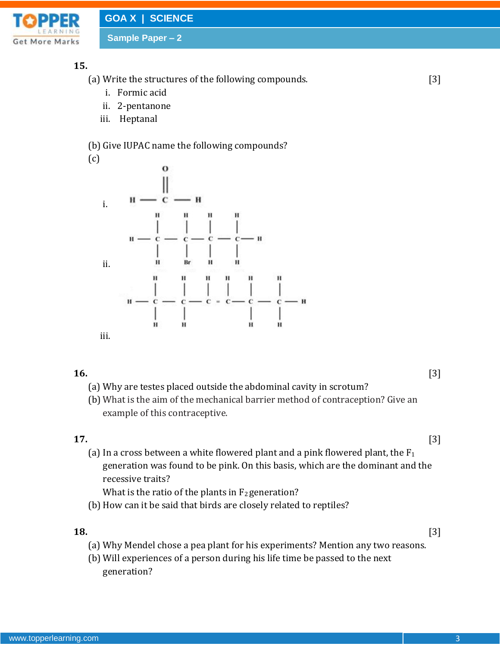

## **15.**

(a) Write the structures of the following compounds. [3]

- i. Formic acid
- ii. 2-pentanone
- iii. Heptanal

## (b) Give IUPAC name the following compounds?

(c)



- **16.** [3] (a) Why are testes placed outside the abdominal cavity in scrotum?
	- (b) What is the aim of the mechanical barrier method of contraception? Give an example of this contraceptive.

## **17.** [3]

(a) In a cross between a white flowered plant and a pink flowered plant, the  $F_1$ generation was found to be pink. On this basis, which are the dominant and the recessive traits?

What is the ratio of the plants in  $F_2$  generation?

(b) How can it be said that birds are closely related to reptiles?

## **18.** [3]

- (a) Why Mendel chose a pea plant for his experiments? Mention any two reasons.
- (b) Will experiences of a person during his life time be passed to the next generation?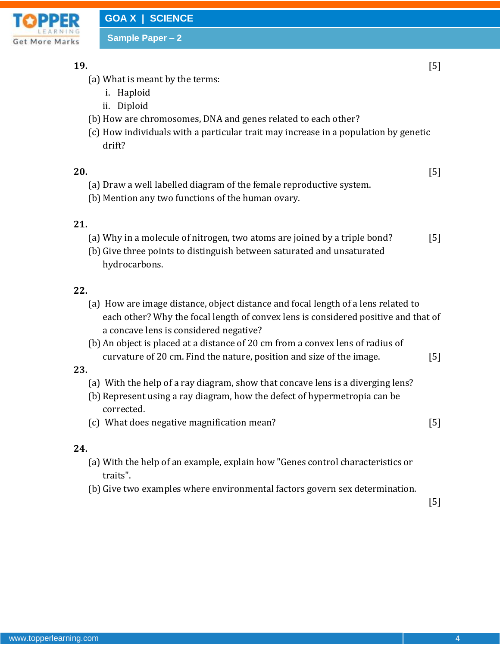

**19.** [5]

- (a) What is meant by the terms:
	- i. Haploid
	- ii. Diploid
- (b) How are chromosomes, DNA and genes related to each other?
- (c) How individuals with a particular trait may increase in a population by genetic drift?

**20.** [5]

- (a) Draw a well labelled diagram of the female reproductive system.
- (b) Mention any two functions of the human ovary.

## **21.**

- (a) Why in a molecule of nitrogen, two atoms are joined by a triple bond? [5]
- (b) Give three points to distinguish between saturated and unsaturated hydrocarbons.

## **22.**

- (a) How are image distance, object distance and focal length of a lens related to each other? Why the focal length of convex lens is considered positive and that of a concave lens is considered negative?
- (b) An object is placed at a distance of 20 cm from a convex lens of radius of curvature of 20 cm. Find the nature, position and size of the image. [5]

### **23.**

- (a) With the help of a ray diagram, show that concave lens is a diverging lens?
- (b) Represent using a ray diagram, how the defect of hypermetropia can be corrected.
- (c) What does negative magnification mean? [5]

## **24.**

- (a) With the help of an example, explain how "Genes control characteristics or traits".
- (b) Give two examples where environmental factors govern sex determination.

[5]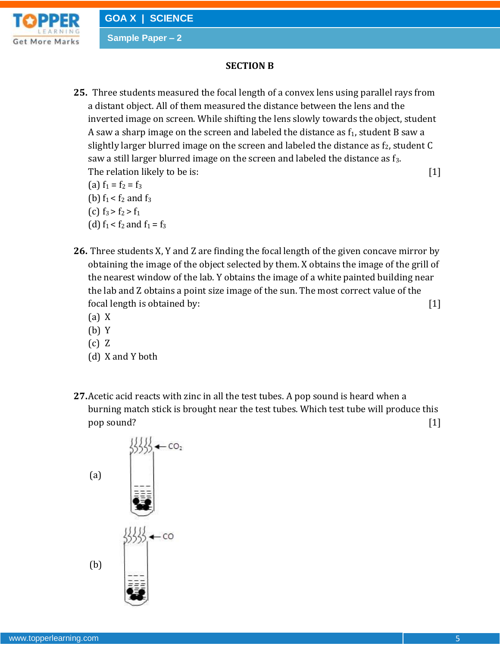

## **SECTION B**

**25.** Three students measured the focal length of a convex lens using parallel rays from a distant object. All of them measured the distance between the lens and the inverted image on screen. While shifting the lens slowly towards the object, student A saw a sharp image on the screen and labeled the distance as  $f_1$ , student B saw a slightly larger blurred image on the screen and labeled the distance as  $f_2$ , student  $C$ saw a still larger blurred image on the screen and labeled the distance as f<sub>3</sub>. The relation likely to be is: [1]

(a)  $f_1 = f_2 = f_3$ (b)  $f_1 < f_2$  and  $f_3$ (c)  $f_3 > f_2 > f_1$ (d)  $f_1 < f_2$  and  $f_1 = f_3$ 

- **26.** Three students X, Y and Z are finding the focal length of the given concave mirror by obtaining the image of the object selected by them. X obtains the image of the grill of the nearest window of the lab. Y obtains the image of a white painted building near the lab and Z obtains a point size image of the sun. The most correct value of the focal length is obtained by: [1]
	- (a) X
	- (b) Y
	- (c) Z
	- (d) X and Y both
- **27.**Acetic acid reacts with zinc in all the test tubes. A pop sound is heard when a burning match stick is brought near the test tubes. Which test tube will produce this pop sound? [1]

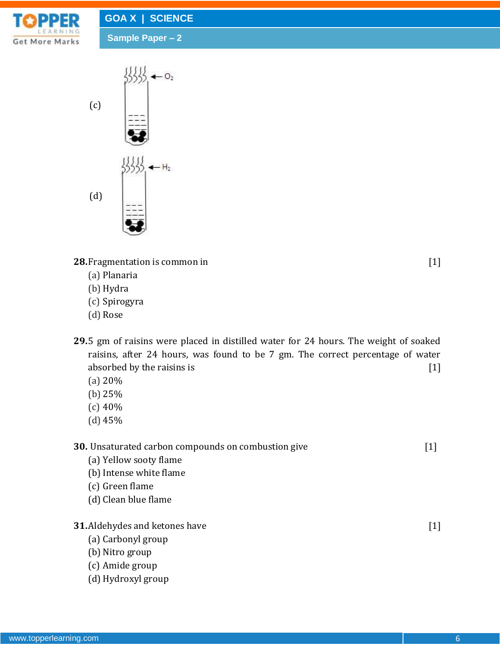



**28.** Fragmentation is common in [1]

- (a) Planaria
- (b) Hydra
- (c) Spirogyra
- (d) Rose
- **29.**5 gm of raisins were placed in distilled water for 24 hours. The weight of soaked raisins, after 24 hours, was found to be 7 gm. The correct percentage of water absorbed by the raisins is [1]
	- (a) 20%
	- (b) 25%
	- (c) 40%
	- (d) 45%

**30.** Unsaturated carbon compounds on combustion give [1]

- (a) Yellow sooty flame
- (b) Intense white flame
- (c) Green flame
- (d) Clean blue flame
- **31.**Aldehydes and ketones have [1]
	- (a) Carbonyl group
	- (b) Nitro group
	- (c) Amide group
	- (d) Hydroxyl group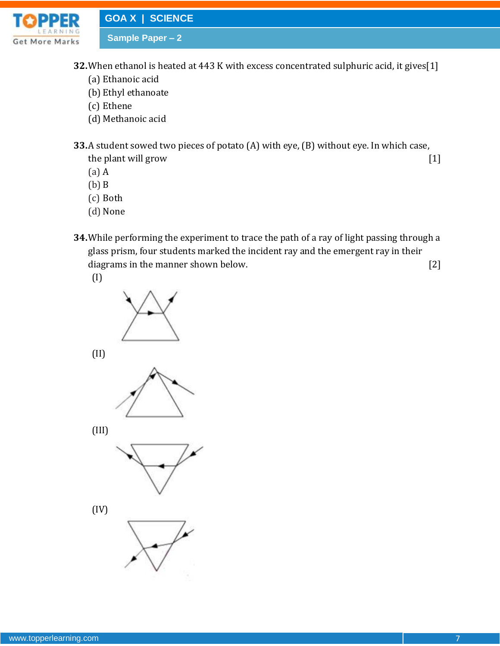

**32.**When ethanol is heated at 443 K with excess concentrated sulphuric acid, it gives[1]

- (a) Ethanoic acid
- (b) Ethyl ethanoate
- (c) Ethene
- (d) Methanoic acid

**33.**A student sowed two pieces of potato (A) with eye, (B) without eye. In which case, the plant will grow [1]

- (a) A
- (b) B
- (c) Both
- (d) None
- **34.**While performing the experiment to trace the path of a ray of light passing through a glass prism, four students marked the incident ray and the emergent ray in their diagrams in the manner shown below. [2]